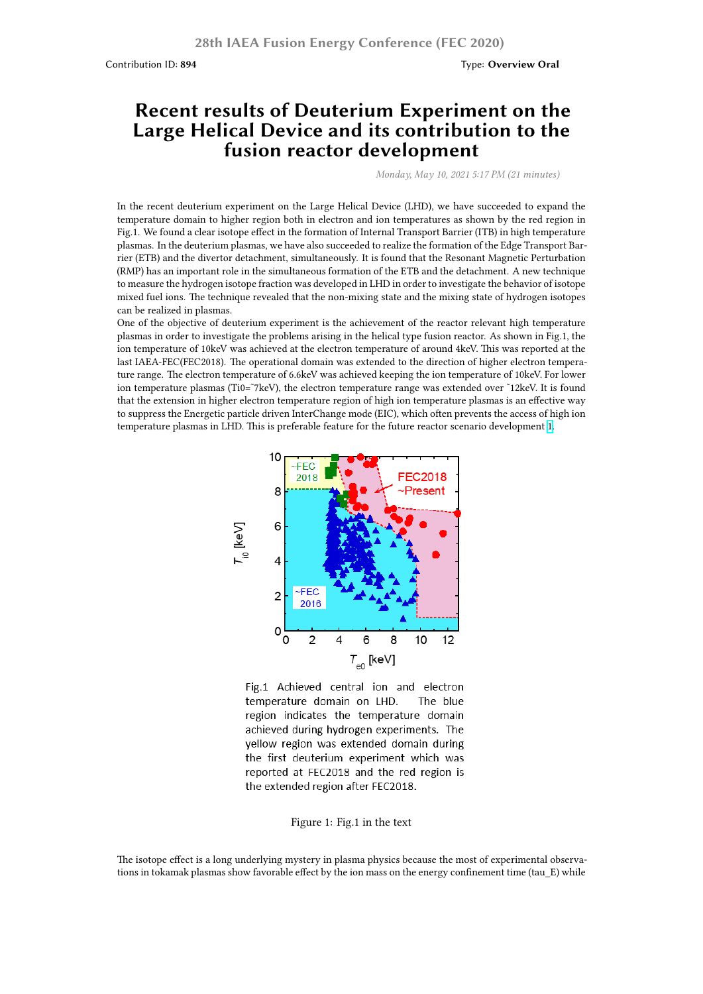# **Recent results of Deuterium Experiment on the Large Helical Device and its contribution to the fusion reactor development**

*Monday, May 10, 2021 5:17 PM (21 minutes)*

In the recent deuterium experiment on the Large Helical Device (LHD), we have succeeded to expand the temperature domain to higher region both in electron and ion temperatures as shown by the red region in Fig.1. We found a clear isotope effect in the formation of Internal Transport Barrier (ITB) in high temperature plasmas. In the deuterium plasmas, we have also succeeded to realize the formation of the Edge Transport Barrier (ETB) and the divertor detachment, simultaneously. It is found that the Resonant Magnetic Perturbation (RMP) has an important role in the simultaneous formation of the ETB and the detachment. A new technique to measure the hydrogen isotope fraction was developed in LHD in order to investigate the behavior of isotope mixed fuel ions. The technique revealed that the non-mixing state and the mixing state of hydrogen isotopes can be realized in plasmas.

One of the objective of deuterium experiment is the achievement of the reactor relevant high temperature plasmas in order to investigate the problems arising in the helical type fusion reactor. As shown in Fig.1, the ion temperature of 10keV was achieved at the electron temperature of around 4keV. This was reported at the last IAEA-FEC(FEC2018). The operational domain was extended to the direction of higher electron temperature range. The electron temperature of 6.6keV was achieved keeping the ion temperature of 10keV. For lower ion temperature plasmas (Ti0=~7keV), the electron temperature range was extended over ~12keV. It is found that the extension in higher electron temperature region of high ion temperature plasmas is an effective way to suppress the Energetic particle driven InterChange mode (EIC), which often prevents the access of high ion temperature plasmas in LHD. This is preferable feature for the future reactor scenario development 1.



Fig.1 Achieved central ion and electron temperature domain on LHD. The blue region indicates the temperature domain achieved during hydrogen experiments. The yellow region was extended domain during the first deuterium experiment which was reported at FEC2018 and the red region is the extended region after FEC2018.

#### Figure 1: Fig.1 in the text

The isotope effect is a long underlying mystery in plasma physics because the most of experimental observations in tokamak plasmas show favorable effect by the ion mass on the energy confinement time (tau\_E) while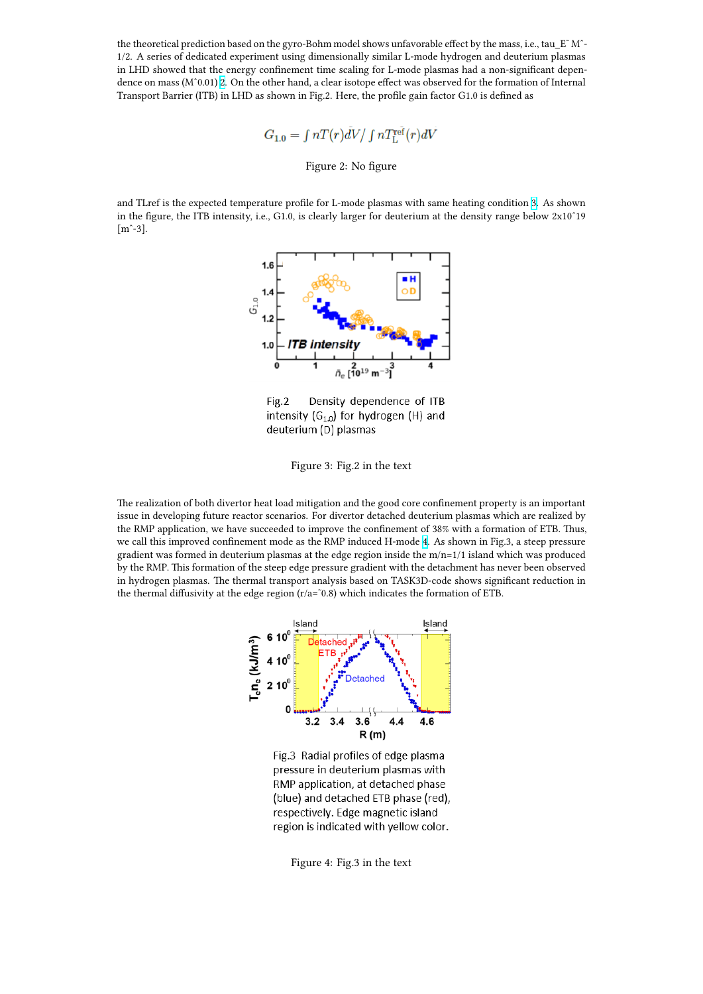10. a seperiment asing antichologian y similar li mode hydrogen and in LHD showed that the energy confinement time scaling for L-mode plasmas had a non-significant dependence on mass (Mˆ0.01) 2. On the other hand, a clear isotope effect was observed for the formation of Internal Transport Barrier (ITB) in LHD as shown in Fig.2. Here, the profile gain factor G1.0 is defined as

$$
G_{1,0} = \int nT(r)\overline{d}V / \int nT_{\rm L}^{\rm ref}(r)dV
$$

Figure 2: No figure

and TLref is the expected temperature profile for L-mode plasmas with same heating condition 3. As shown in the figure, the ITB intensity, i.e., G1.0, is clearly larger for deuterium at the density range below 2x10ˆ19  $[m^{\text{-}}3]$ .



Fig.2 Density dependence of ITB intensity  $(G_{1.0})$  for hydrogen (H) and deuterium (D) plasmas

### Figure 3: Fig.2 in the text

The realization of both divertor heat load mitigation and the good core confinement property is an important issue in developing future reactor scenarios. For divertor detached deuterium plasmas which are realized by the RMP application, we have succeeded to improve the confinement of 38% with a formation of ETB. Thus, we call this improved confinement mode as the RMP induced H-mode 4. As shown in Fig.3, a steep pressure gradient was formed in deuterium plasmas at the edge region inside the m/n=1/1 island which was produced by the RMP. This formation of the steep edge pressure gradient with the detachment has never been observed in hydrogen plasmas. The thermal transport analysis based on TASK3D-code shows significant reduction in the thermal diffusivity at the edge region  $(r/a=$ <sup> $-0.8)$ </sup> which indicates th[e f](https://workshop.nifs.ac.jp/fec2020/image/102-OSAKABE-image-fig_3.png)ormation of ETB.



Fig.3 Radial profiles of edge plasma pressure in deuterium plasmas with RMP application, at detached phase (blue) and detached ETB phase (red), respectively. Edge magnetic island region is indicated with yellow color.

Figure 4: Fig.3 in the text